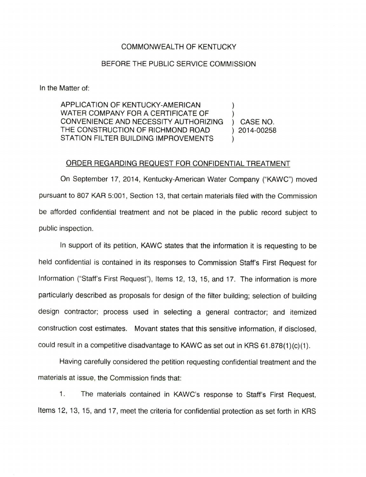## COMMONWEALTH OF KENTUCKY

## BEFORE THE PUBLIC SERVICE COMMISSION

In the Matter of:

APPLICATION OF KENTUCKY-AMERICAN WATER COMPANY FOR A CERTIFICATE OF CONVENIENCE AND NECESSITY AUTHORIZING ) CASE NO. THE CONSTRUCTION OF RICHMOND ROAD ) 2014-00258 STATION FILTER BUILDING IMPROVEMENTS

## ORDER REGARDING REQUEST FOR CONFIDENTIAL TREATMENT

On September 17, 2014, Kentucky-American Water Company ("KAWC") moved pursuant to 807 KAR 5:001, Section 13, that certain materials filed with the Commission be afforded confidential treatment and not be placed in the public record subject to public inspection.

In support of its petition, KAWC states that the information it is requesting to be held confidential is contained in its responses to Commission Staff's First Request for Information ("Staff's First Request"), Items 12, 13, 15, and 17. The information is more particularly described as proposals for design of the filter building; selection of building design contractor; process used in selecting a general contractor; and itemized construction cost estimates. Movant states that this sensitive information, if disclosed, could result in a competitive disadvantage to KAWC as set out in KRS  $61.878(1)(c)(1)$ .

Having carefully considered the petition requesting confidential treatment and the materials at issue, the Commission finds that:

1. The materials contained in KAWC's response to Staff's First Request, Items 12, 13, 15, and 17, meet the criteria for confidential protection as set forth in KRS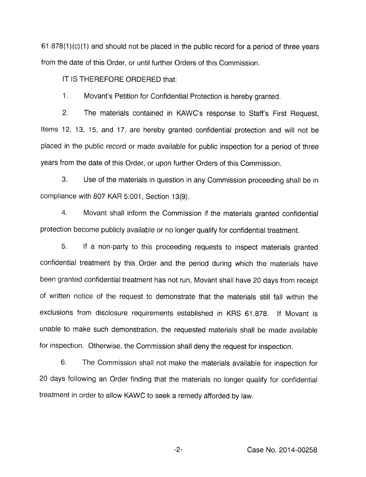$61.878(1)(c)(1)$  and should not be placed in the public record for a period of three years from the date of this Order, or until further Orders of this Commission.

IT IS THEREFORE ORDERED that:

1. Movant's Petition for Confidential Protection is hereby granted.

2. The materials contained in KAWC's response to Staff's First Request, Items 12, 13, 15, and 17, are hereby granted confidential protection and will not be placed in the public record or made available for public inspection for a period of three years from the date of this Order, or upon further Orders of this Commission.

3. Use of the materials in question in any Commission proceeding shall be in compliance with 807 KAR 5:001, Section 13(9).

4. Movant shall inform the Commission if the materials granted confidential protection become publicly available or no longer qualify for confidential treatment.

5. If a non-party to this proceeding requests to inspect materials granted confidential treatment by this Order and the period during which the materials have been granted confidential treatment has not run, Movant shall have 20 days from receipt of written notice of the request to demonstrate that the materials still fall within the exclusions from disclosure requirements established in KRS 61.878. If Movant is unable to make such demonstration, the requested materials shall be made available for inspection. Otherwise, the Commission shall deny the request for inspection.

6. The Commission shall not make the materials available for inspection for 20 days following an Order finding that the materials no longer qualify for confidential treatment in order to allow KAWC to seek a remedy afforded by law.

 $-2-$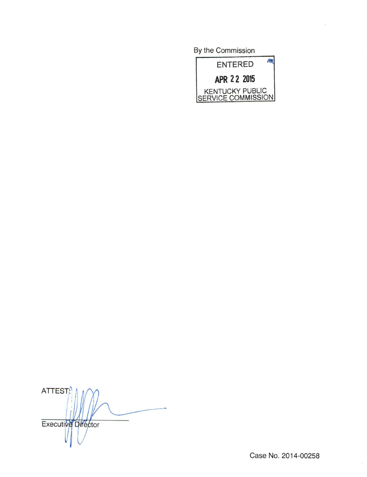By the Commission



ATTEST<sup>/</sup> Executive Director